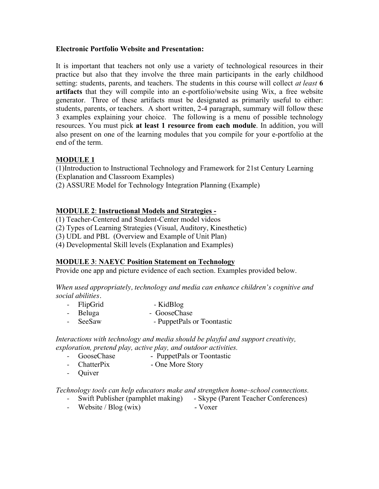### **Electronic Portfolio Website and Presentation:**

It is important that teachers not only use a variety of technological resources in their practice but also that they involve the three main participants in the early childhood setting: students, parents, and teachers. The students in this course will collect *at least* **6 artifacts** that they will compile into an e-portfolio/website using Wix, a free website generator. Three of these artifacts must be designated as primarily useful to either: students, parents, or teachers. A short written, 2-4 paragraph, summary will follow these 3 examples explaining your choice. The following is a menu of possible technology resources. You must pick **at least 1 resource from each module**. In addition, you will also present on one of the learning modules that you compile for your e-portfolio at the end of the term.

# **MODULE 1**

(1)Introduction to Instructional Technology and Framework for 21st Century Learning (Explanation and Classroom Examples)

(2) ASSURE Model for Technology Integration Planning (Example)

## **MODULE 2**: **Instructional Models and Strategies -**

(1) Teacher-Centered and Student-Center model videos

(2) Types of Learning Strategies (Visual, Auditory, Kinesthetic)

(3) UDL and PBL (Overview and Example of Unit Plan)

(4) Developmental Skill levels (Explanation and Examples)

## **MODULE 3**: **NAEYC Position Statement on Technology**

Provide one app and picture evidence of each section. Examples provided below.

*When used appropriately, technology and media can enhance children's cognitive and social abilities.*

- FlipGrid KidBlog
- Beluga GooseChase
- SeeSaw PuppetPals or Toontastic

*Interactions with technology and media should be playful and support creativity, exploration, pretend play, active play, and outdoor activities.* 

- GooseChase PuppetPals or Toontastic
- ChatterPix One More Story
- Quiver

*Technology tools can help educators make and strengthen home–school connections.*

- Swift Publisher (pamphlet making) Skype (Parent Teacher Conferences)
- Website / Blog (wix) Voxer